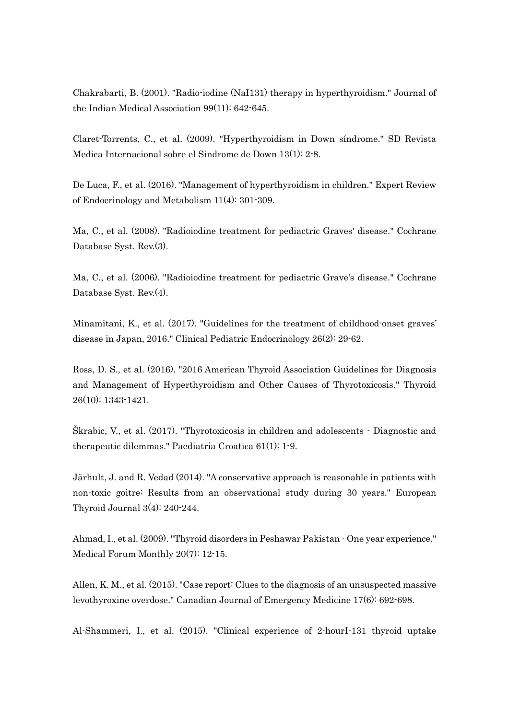Chakrabarti, B. (2001). "Radio-iodine (NaI131) therapy in hyperthyroidism." Journal of the Indian Medical Association 99(11): 642-645.

Claret-Torrents, C., et al. (2009). "Hyperthyroidism in Down síndrome." SD Revista Medica Internacional sobre el Sindrome de Down 13(1): 2-8.

De Luca, F., et al. (2016). "Management of hyperthyroidism in children." Expert Review of Endocrinology and Metabolism 11(4): 301-309.

Ma, C., et al. (2008). "Radioiodine treatment for pediactric Graves' disease." Cochrane Database Syst. Rev.(3).

Ma, C., et al. (2006). "Radioiodine treatment for pediactric Grave's disease." Cochrane Database Syst. Rev.(4).

Minamitani, K., et al. (2017). "Guidelines for the treatment of childhood-onset graves' disease in Japan, 2016." Clinical Pediatric Endocrinology 26(2): 29-62.

Ross, D. S., et al. (2016). "2016 American Thyroid Association Guidelines for Diagnosis and Management of Hyperthyroidism and Other Causes of Thyrotoxicosis." Thyroid 26(10): 1343-1421.

Škrabic, V., et al. (2017). "Thyrotoxicosis in children and adolescents - Diagnostic and therapeutic dilemmas." Paediatria Croatica 61(1): 1-9.

Järhult, J. and R. Vedad (2014). "A conservative approach is reasonable in patients with non-toxic goitre: Results from an observational study during 30 years." European Thyroid Journal 3(4): 240-244.

Ahmad, I., et al. (2009). "Thyroid disorders in Peshawar Pakistan - One year experience." Medical Forum Monthly 20(7): 12-15.

Allen, K. M., et al. (2015). "Case report: Clues to the diagnosis of an unsuspected massive levothyroxine overdose." Canadian Journal of Emergency Medicine 17(6): 692-698.

Al-Shammeri, I., et al. (2015). "Clinical experience of 2-hourI-131 thyroid uptake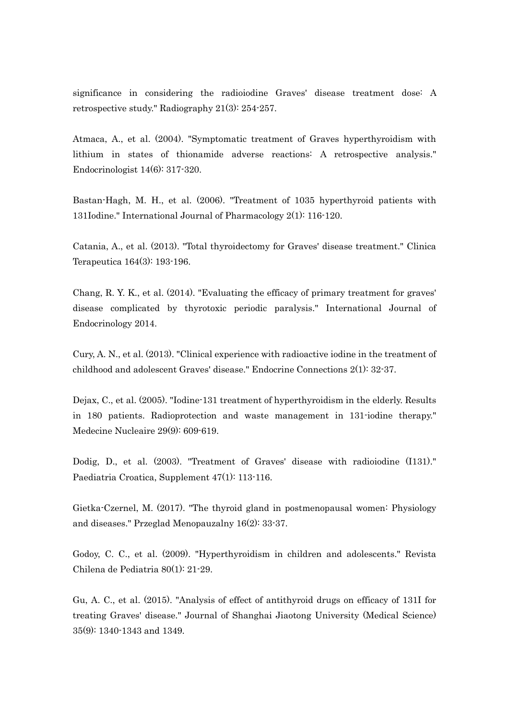significance in considering the radioiodine Graves' disease treatment dose: A retrospective study." Radiography 21(3): 254-257.

Atmaca, A., et al. (2004). "Symptomatic treatment of Graves hyperthyroidism with lithium in states of thionamide adverse reactions: A retrospective analysis." Endocrinologist 14(6): 317-320.

Bastan-Hagh, M. H., et al. (2006). "Treatment of 1035 hyperthyroid patients with 131Iodine." International Journal of Pharmacology 2(1): 116-120.

Catania, A., et al. (2013). "Total thyroidectomy for Graves' disease treatment." Clinica Terapeutica 164(3): 193-196.

Chang, R. Y. K., et al. (2014). "Evaluating the efficacy of primary treatment for graves' disease complicated by thyrotoxic periodic paralysis." International Journal of Endocrinology 2014.

Cury, A. N., et al. (2013). "Clinical experience with radioactive iodine in the treatment of childhood and adolescent Graves' disease." Endocrine Connections 2(1): 32-37.

Dejax, C., et al. (2005). "Iodine-131 treatment of hyperthyroidism in the elderly. Results in 180 patients. Radioprotection and waste management in 131-iodine therapy." Medecine Nucleaire 29(9): 609-619.

Dodig, D., et al. (2003). "Treatment of Graves' disease with radioiodine (I131)." Paediatria Croatica, Supplement 47(1): 113-116.

Gietka-Czernel, M. (2017). "The thyroid gland in postmenopausal women: Physiology and diseases." Przeglad Menopauzalny 16(2): 33-37.

Godoy, C. C., et al. (2009). "Hyperthyroidism in children and adolescents." Revista Chilena de Pediatria 80(1): 21-29.

Gu, A. C., et al. (2015). "Analysis of effect of antithyroid drugs on efficacy of 131I for treating Graves' disease." Journal of Shanghai Jiaotong University (Medical Science) 35(9): 1340-1343 and 1349.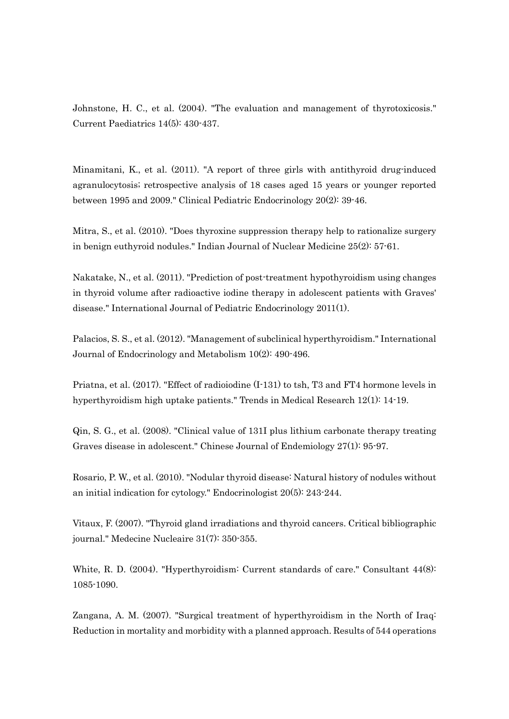Johnstone, H. C., et al. (2004). "The evaluation and management of thyrotoxicosis." Current Paediatrics 14(5): 430-437.

Minamitani, K., et al. (2011). "A report of three girls with antithyroid drug-induced agranulocytosis; retrospective analysis of 18 cases aged 15 years or younger reported between 1995 and 2009." Clinical Pediatric Endocrinology 20(2): 39-46.

Mitra, S., et al. (2010). "Does thyroxine suppression therapy help to rationalize surgery in benign euthyroid nodules." Indian Journal of Nuclear Medicine 25(2): 57-61.

Nakatake, N., et al. (2011). "Prediction of post-treatment hypothyroidism using changes in thyroid volume after radioactive iodine therapy in adolescent patients with Graves' disease." International Journal of Pediatric Endocrinology 2011(1).

Palacios, S. S., et al. (2012). "Management of subclinical hyperthyroidism." International Journal of Endocrinology and Metabolism 10(2): 490-496.

Priatna, et al. (2017). "Effect of radioiodine (I-131) to tsh, T3 and FT4 hormone levels in hyperthyroidism high uptake patients." Trends in Medical Research 12(1): 14-19.

Qin, S. G., et al. (2008). "Clinical value of 131I plus lithium carbonate therapy treating Graves disease in adolescent." Chinese Journal of Endemiology 27(1): 95-97.

Rosario, P. W., et al. (2010). "Nodular thyroid disease: Natural history of nodules without an initial indication for cytology." Endocrinologist 20(5): 243-244.

Vitaux, F. (2007). "Thyroid gland irradiations and thyroid cancers. Critical bibliographic journal." Medecine Nucleaire 31(7): 350-355.

White, R. D. (2004). "Hyperthyroidism: Current standards of care." Consultant 44(8): 1085-1090.

Zangana, A. M. (2007). "Surgical treatment of hyperthyroidism in the North of Iraq: Reduction in mortality and morbidity with a planned approach. Results of 544 operations